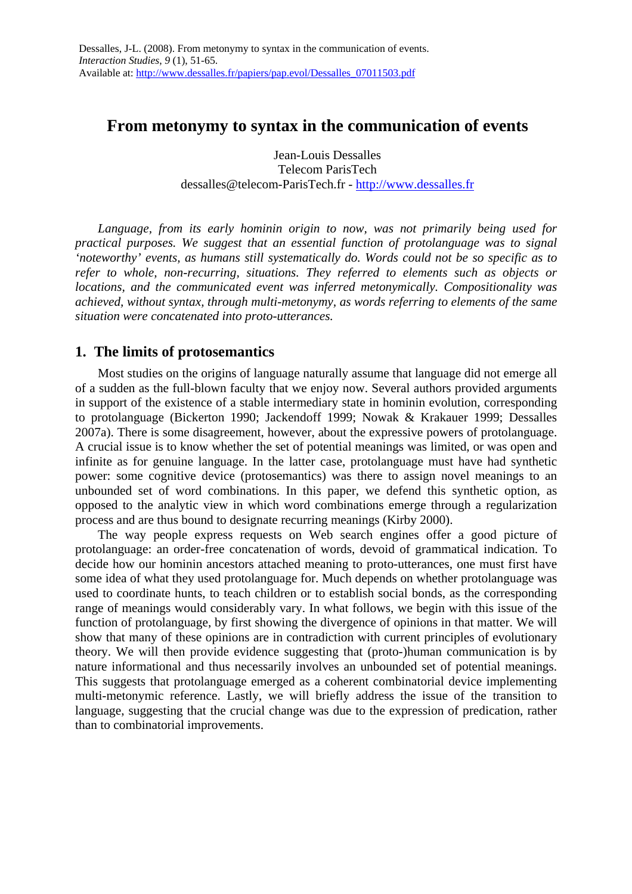# **From metonymy to syntax in the communication of events**

Jean-Louis Dessalles Telecom ParisTech dessalles@telecom-ParisTech.fr - http://www.dessalles.fr

*Language, from its early hominin origin to now, was not primarily being used for practical purposes. We suggest that an essential function of protolanguage was to signal 'noteworthy' events, as humans still systematically do. Words could not be so specific as to refer to whole, non-recurring, situations. They referred to elements such as objects or locations, and the communicated event was inferred metonymically. Compositionality was achieved, without syntax, through multi-metonymy, as words referring to elements of the same situation were concatenated into proto-utterances.* 

## **1. The limits of protosemantics**

Most studies on the origins of language naturally assume that language did not emerge all of a sudden as the full-blown faculty that we enjoy now. Several authors provided arguments in support of the existence of a stable intermediary state in hominin evolution, corresponding to protolanguage (Bickerton 1990; Jackendoff 1999; Nowak & Krakauer 1999; Dessalles 2007a). There is some disagreement, however, about the expressive powers of protolanguage. A crucial issue is to know whether the set of potential meanings was limited, or was open and infinite as for genuine language. In the latter case, protolanguage must have had synthetic power: some cognitive device (protosemantics) was there to assign novel meanings to an unbounded set of word combinations. In this paper, we defend this synthetic option, as opposed to the analytic view in which word combinations emerge through a regularization process and are thus bound to designate recurring meanings (Kirby 2000).

The way people express requests on Web search engines offer a good picture of protolanguage: an order-free concatenation of words, devoid of grammatical indication. To decide how our hominin ancestors attached meaning to proto-utterances, one must first have some idea of what they used protolanguage for. Much depends on whether protolanguage was used to coordinate hunts, to teach children or to establish social bonds, as the corresponding range of meanings would considerably vary. In what follows, we begin with this issue of the function of protolanguage, by first showing the divergence of opinions in that matter. We will show that many of these opinions are in contradiction with current principles of evolutionary theory. We will then provide evidence suggesting that (proto-)human communication is by nature informational and thus necessarily involves an unbounded set of potential meanings. This suggests that protolanguage emerged as a coherent combinatorial device implementing multi-metonymic reference. Lastly, we will briefly address the issue of the transition to language, suggesting that the crucial change was due to the expression of predication, rather than to combinatorial improvements.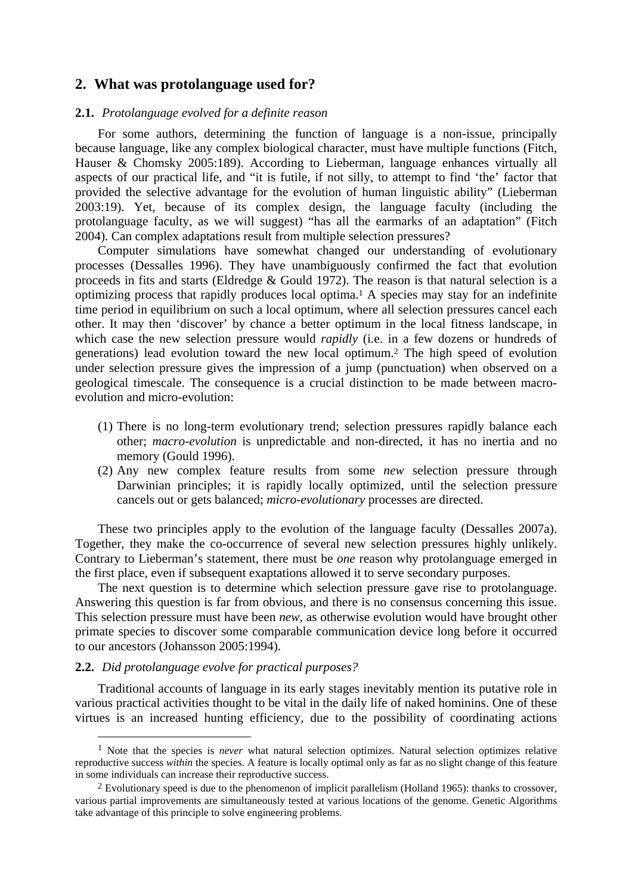## **2. What was protolanguage used for?**

#### **2.1.** *Protolanguage evolved for a definite reason*

For some authors, determining the function of language is a non-issue, principally because language, like any complex biological character, must have multiple functions (Fitch, Hauser & Chomsky 2005:189). According to Lieberman, language enhances virtually all aspects of our practical life, and "it is futile, if not silly, to attempt to find 'the' factor that provided the selective advantage for the evolution of human linguistic ability" (Lieberman 2003:19). Yet, because of its complex design, the language faculty (including the protolanguage faculty, as we will suggest) "has all the earmarks of an adaptation" (Fitch 2004). Can complex adaptations result from multiple selection pressures?

Computer simulations have somewhat changed our understanding of evolutionary processes (Dessalles 1996). They have unambiguously confirmed the fact that evolution proceeds in fits and starts (Eldredge & Gould 1972). The reason is that natural selection is a optimizing process that rapidly produces local optima.1 A species may stay for an indefinite time period in equilibrium on such a local optimum, where all selection pressures cancel each other. It may then 'discover' by chance a better optimum in the local fitness landscape, in which case the new selection pressure would *rapidly* (i.e. in a few dozens or hundreds of generations) lead evolution toward the new local optimum.2 The high speed of evolution under selection pressure gives the impression of a jump (punctuation) when observed on a geological timescale. The consequence is a crucial distinction to be made between macroevolution and micro-evolution:

- (1) There is no long-term evolutionary trend; selection pressures rapidly balance each other; *macro-evolution* is unpredictable and non-directed, it has no inertia and no memory (Gould 1996).
- (2) Any new complex feature results from some *new* selection pressure through Darwinian principles; it is rapidly locally optimized, until the selection pressure cancels out or gets balanced; *micro-evolutionary* processes are directed.

These two principles apply to the evolution of the language faculty (Dessalles 2007a). Together, they make the co-occurrence of several new selection pressures highly unlikely. Contrary to Lieberman's statement, there must be *one* reason why protolanguage emerged in the first place, even if subsequent exaptations allowed it to serve secondary purposes.

The next question is to determine which selection pressure gave rise to protolanguage. Answering this question is far from obvious, and there is no consensus concerning this issue. This selection pressure must have been *new*, as otherwise evolution would have brought other primate species to discover some comparable communication device long before it occurred to our ancestors (Johansson 2005:1994).

#### **2.2.** *Did protolanguage evolve for practical purposes?*

 $\overline{a}$ 

Traditional accounts of language in its early stages inevitably mention its putative role in various practical activities thought to be vital in the daily life of naked hominins. One of these virtues is an increased hunting efficiency, due to the possibility of coordinating actions

<sup>1</sup> Note that the species is *never* what natural selection optimizes. Natural selection optimizes relative reproductive success *within* the species. A feature is locally optimal only as far as no slight change of this feature in some individuals can increase their reproductive success.

<sup>&</sup>lt;sup>2</sup> Evolutionary speed is due to the phenomenon of implicit parallelism (Holland 1965): thanks to crossover, various partial improvements are simultaneously tested at various locations of the genome. Genetic Algorithms take advantage of this principle to solve engineering problems.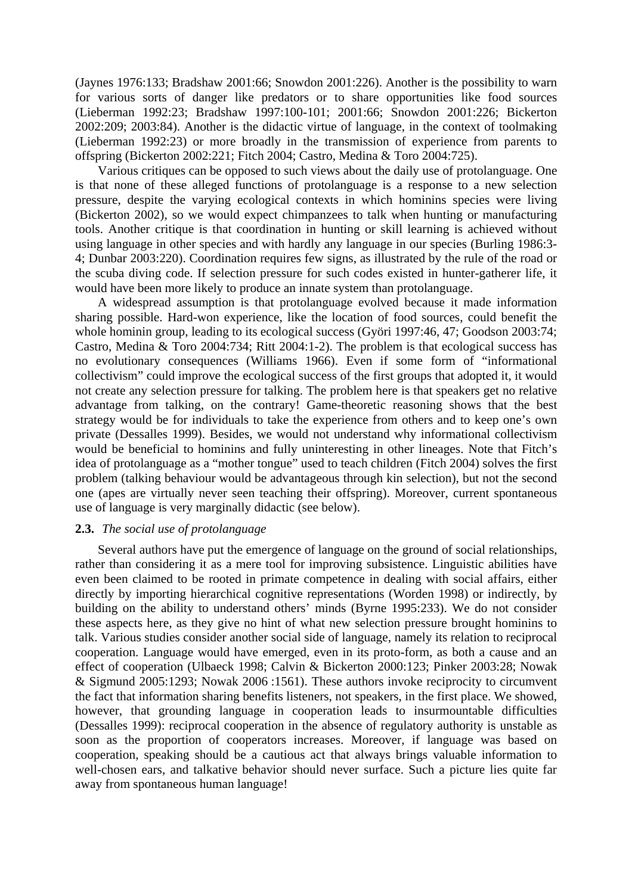(Jaynes 1976:133; Bradshaw 2001:66; Snowdon 2001:226). Another is the possibility to warn for various sorts of danger like predators or to share opportunities like food sources (Lieberman 1992:23; Bradshaw 1997:100-101; 2001:66; Snowdon 2001:226; Bickerton 2002:209; 2003:84). Another is the didactic virtue of language, in the context of toolmaking (Lieberman 1992:23) or more broadly in the transmission of experience from parents to offspring (Bickerton 2002:221; Fitch 2004; Castro, Medina & Toro 2004:725).

Various critiques can be opposed to such views about the daily use of protolanguage. One is that none of these alleged functions of protolanguage is a response to a new selection pressure, despite the varying ecological contexts in which hominins species were living (Bickerton 2002), so we would expect chimpanzees to talk when hunting or manufacturing tools. Another critique is that coordination in hunting or skill learning is achieved without using language in other species and with hardly any language in our species (Burling 1986:3- 4; Dunbar 2003:220). Coordination requires few signs, as illustrated by the rule of the road or the scuba diving code. If selection pressure for such codes existed in hunter-gatherer life, it would have been more likely to produce an innate system than protolanguage.

A widespread assumption is that protolanguage evolved because it made information sharing possible. Hard-won experience, like the location of food sources, could benefit the whole hominin group, leading to its ecological success (Györi 1997:46, 47; Goodson 2003:74; Castro, Medina & Toro 2004:734; Ritt 2004:1-2). The problem is that ecological success has no evolutionary consequences (Williams 1966). Even if some form of "informational collectivism" could improve the ecological success of the first groups that adopted it, it would not create any selection pressure for talking. The problem here is that speakers get no relative advantage from talking, on the contrary! Game-theoretic reasoning shows that the best strategy would be for individuals to take the experience from others and to keep one's own private (Dessalles 1999). Besides, we would not understand why informational collectivism would be beneficial to hominins and fully uninteresting in other lineages. Note that Fitch's idea of protolanguage as a "mother tongue" used to teach children (Fitch 2004) solves the first problem (talking behaviour would be advantageous through kin selection), but not the second one (apes are virtually never seen teaching their offspring). Moreover, current spontaneous use of language is very marginally didactic (see below).

## **2.3.** *The social use of protolanguage*

Several authors have put the emergence of language on the ground of social relationships, rather than considering it as a mere tool for improving subsistence. Linguistic abilities have even been claimed to be rooted in primate competence in dealing with social affairs, either directly by importing hierarchical cognitive representations (Worden 1998) or indirectly, by building on the ability to understand others' minds (Byrne 1995:233). We do not consider these aspects here, as they give no hint of what new selection pressure brought hominins to talk. Various studies consider another social side of language, namely its relation to reciprocal cooperation. Language would have emerged, even in its proto-form, as both a cause and an effect of cooperation (Ulbaeck 1998; Calvin & Bickerton 2000:123; Pinker 2003:28; Nowak & Sigmund 2005:1293; Nowak 2006 :1561). These authors invoke reciprocity to circumvent the fact that information sharing benefits listeners, not speakers, in the first place. We showed, however, that grounding language in cooperation leads to insurmountable difficulties (Dessalles 1999): reciprocal cooperation in the absence of regulatory authority is unstable as soon as the proportion of cooperators increases. Moreover, if language was based on cooperation, speaking should be a cautious act that always brings valuable information to well-chosen ears, and talkative behavior should never surface. Such a picture lies quite far away from spontaneous human language!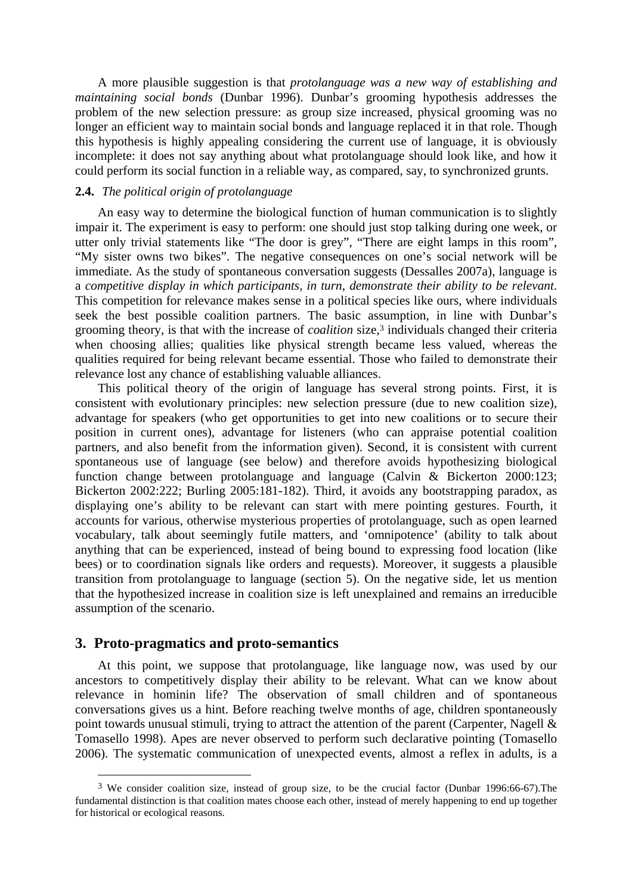A more plausible suggestion is that *protolanguage was a new way of establishing and maintaining social bonds* (Dunbar 1996). Dunbar's grooming hypothesis addresses the problem of the new selection pressure: as group size increased, physical grooming was no longer an efficient way to maintain social bonds and language replaced it in that role. Though this hypothesis is highly appealing considering the current use of language, it is obviously incomplete: it does not say anything about what protolanguage should look like, and how it could perform its social function in a reliable way, as compared, say, to synchronized grunts.

## **2.4.** *The political origin of protolanguage*

An easy way to determine the biological function of human communication is to slightly impair it. The experiment is easy to perform: one should just stop talking during one week, or utter only trivial statements like "The door is grey", "There are eight lamps in this room", "My sister owns two bikes". The negative consequences on one's social network will be immediate. As the study of spontaneous conversation suggests (Dessalles 2007a), language is a *competitive display in which participants, in turn, demonstrate their ability to be relevant*. This competition for relevance makes sense in a political species like ours, where individuals seek the best possible coalition partners. The basic assumption, in line with Dunbar's grooming theory, is that with the increase of *coalition* size,3 individuals changed their criteria when choosing allies; qualities like physical strength became less valued, whereas the qualities required for being relevant became essential. Those who failed to demonstrate their relevance lost any chance of establishing valuable alliances.

This political theory of the origin of language has several strong points. First, it is consistent with evolutionary principles: new selection pressure (due to new coalition size), advantage for speakers (who get opportunities to get into new coalitions or to secure their position in current ones), advantage for listeners (who can appraise potential coalition partners, and also benefit from the information given). Second, it is consistent with current spontaneous use of language (see below) and therefore avoids hypothesizing biological function change between protolanguage and language (Calvin & Bickerton 2000:123; Bickerton 2002:222; Burling 2005:181-182). Third, it avoids any bootstrapping paradox, as displaying one's ability to be relevant can start with mere pointing gestures. Fourth, it accounts for various, otherwise mysterious properties of protolanguage, such as open learned vocabulary, talk about seemingly futile matters, and 'omnipotence' (ability to talk about anything that can be experienced, instead of being bound to expressing food location (like bees) or to coordination signals like orders and requests). Moreover, it suggests a plausible transition from protolanguage to language (section 5). On the negative side, let us mention that the hypothesized increase in coalition size is left unexplained and remains an irreducible assumption of the scenario.

### **3. Proto-pragmatics and proto-semantics**

 $\overline{a}$ 

At this point, we suppose that protolanguage, like language now, was used by our ancestors to competitively display their ability to be relevant. What can we know about relevance in hominin life? The observation of small children and of spontaneous conversations gives us a hint. Before reaching twelve months of age, children spontaneously point towards unusual stimuli, trying to attract the attention of the parent (Carpenter, Nagell  $\&$ Tomasello 1998). Apes are never observed to perform such declarative pointing (Tomasello 2006). The systematic communication of unexpected events, almost a reflex in adults, is a

<sup>3</sup> We consider coalition size, instead of group size, to be the crucial factor (Dunbar 1996:66-67).The fundamental distinction is that coalition mates choose each other, instead of merely happening to end up together for historical or ecological reasons.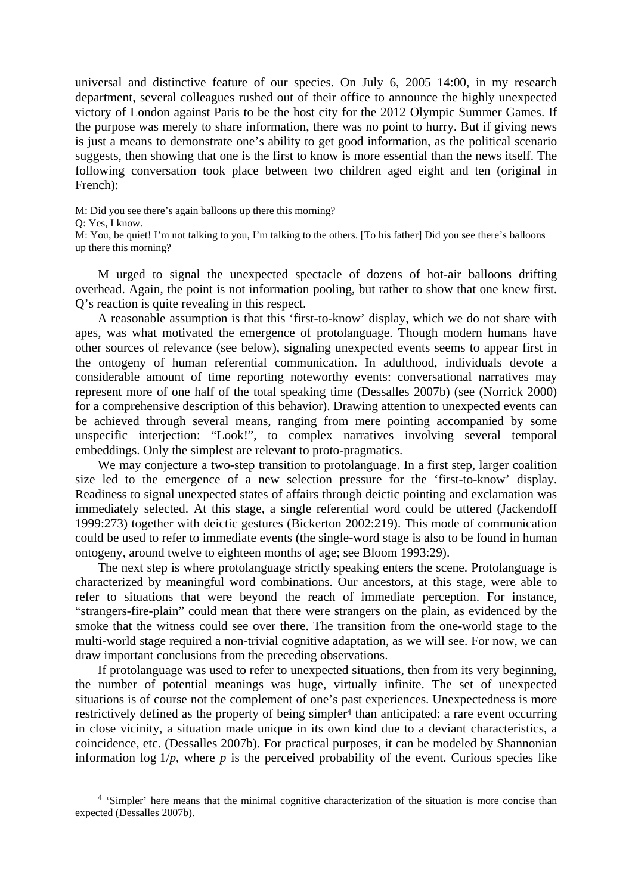universal and distinctive feature of our species. On July 6, 2005 14:00, in my research department, several colleagues rushed out of their office to announce the highly unexpected victory of London against Paris to be the host city for the 2012 Olympic Summer Games. If the purpose was merely to share information, there was no point to hurry. But if giving news is just a means to demonstrate one's ability to get good information, as the political scenario suggests, then showing that one is the first to know is more essential than the news itself. The following conversation took place between two children aged eight and ten (original in French):

M: Did you see there's again balloons up there this morning?

Q: Yes, I know.

 $\overline{a}$ 

M: You, be quiet! I'm not talking to you, I'm talking to the others. [To his father] Did you see there's balloons up there this morning?

M urged to signal the unexpected spectacle of dozens of hot-air balloons drifting overhead. Again, the point is not information pooling, but rather to show that one knew first. Q's reaction is quite revealing in this respect.

A reasonable assumption is that this 'first-to-know' display, which we do not share with apes, was what motivated the emergence of protolanguage. Though modern humans have other sources of relevance (see below), signaling unexpected events seems to appear first in the ontogeny of human referential communication. In adulthood, individuals devote a considerable amount of time reporting noteworthy events: conversational narratives may represent more of one half of the total speaking time (Dessalles 2007b) (see (Norrick 2000) for a comprehensive description of this behavior). Drawing attention to unexpected events can be achieved through several means, ranging from mere pointing accompanied by some unspecific interjection: "Look!", to complex narratives involving several temporal embeddings. Only the simplest are relevant to proto-pragmatics.

We may conjecture a two-step transition to protolanguage. In a first step, larger coalition size led to the emergence of a new selection pressure for the 'first-to-know' display. Readiness to signal unexpected states of affairs through deictic pointing and exclamation was immediately selected. At this stage, a single referential word could be uttered (Jackendoff 1999:273) together with deictic gestures (Bickerton 2002:219). This mode of communication could be used to refer to immediate events (the single-word stage is also to be found in human ontogeny, around twelve to eighteen months of age; see Bloom 1993:29).

The next step is where protolanguage strictly speaking enters the scene. Protolanguage is characterized by meaningful word combinations. Our ancestors, at this stage, were able to refer to situations that were beyond the reach of immediate perception. For instance, "strangers-fire-plain" could mean that there were strangers on the plain, as evidenced by the smoke that the witness could see over there. The transition from the one-world stage to the multi-world stage required a non-trivial cognitive adaptation, as we will see. For now, we can draw important conclusions from the preceding observations.

If protolanguage was used to refer to unexpected situations, then from its very beginning, the number of potential meanings was huge, virtually infinite. The set of unexpected situations is of course not the complement of one's past experiences. Unexpectedness is more restrictively defined as the property of being simpler<sup>4</sup> than anticipated: a rare event occurring in close vicinity, a situation made unique in its own kind due to a deviant characteristics, a coincidence, etc. (Dessalles 2007b). For practical purposes, it can be modeled by Shannonian information log  $1/p$ , where  $p$  is the perceived probability of the event. Curious species like

<sup>4 &#</sup>x27;Simpler' here means that the minimal cognitive characterization of the situation is more concise than expected (Dessalles 2007b).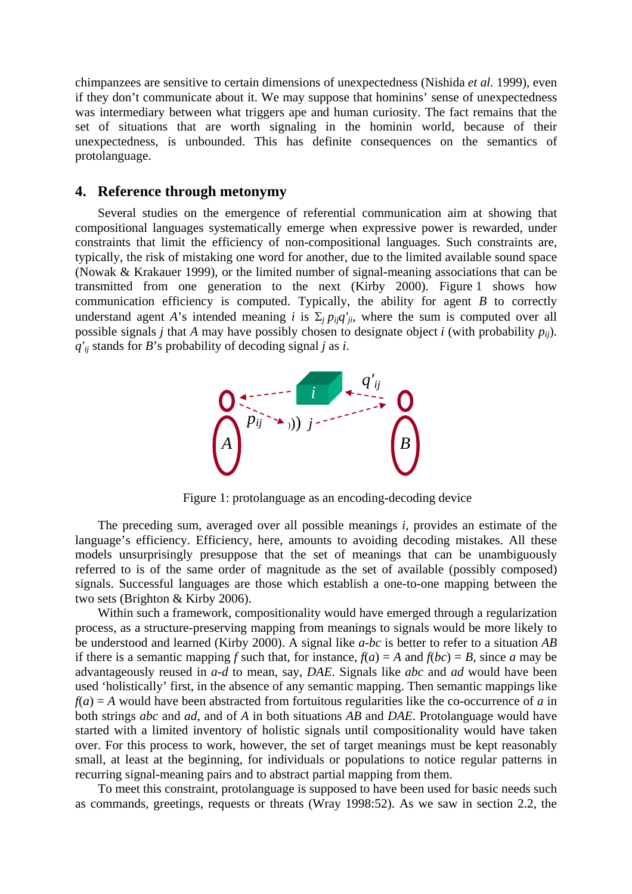chimpanzees are sensitive to certain dimensions of unexpectedness (Nishida *et al.* 1999), even if they don't communicate about it. We may suppose that hominins' sense of unexpectedness was intermediary between what triggers ape and human curiosity. The fact remains that the set of situations that are worth signaling in the hominin world, because of their unexpectedness, is unbounded. This has definite consequences on the semantics of protolanguage.

### **4. Reference through metonymy**

Several studies on the emergence of referential communication aim at showing that compositional languages systematically emerge when expressive power is rewarded, under constraints that limit the efficiency of non-compositional languages. Such constraints are, typically, the risk of mistaking one word for another, due to the limited available sound space (Nowak & Krakauer 1999), or the limited number of signal-meaning associations that can be transmitted from one generation to the next (Kirby 2000). Figure 1 shows how communication efficiency is computed. Typically, the ability for agent *B* to correctly understand agent *A*'s intended meaning *i* is  $\Sigma_i p_{ij}q'_{ji}$ , where the sum is computed over all possible signals *j* that *A* may have possibly chosen to designate object *i* (with probability  $p_{ij}$ ). *q'ij* stands for *B*'s probability of decoding signal *j* as *i*.



Figure 1: protolanguage as an encoding-decoding device

The preceding sum, averaged over all possible meanings *i*, provides an estimate of the language's efficiency. Efficiency, here, amounts to avoiding decoding mistakes. All these models unsurprisingly presuppose that the set of meanings that can be unambiguously referred to is of the same order of magnitude as the set of available (possibly composed) signals. Successful languages are those which establish a one-to-one mapping between the two sets (Brighton & Kirby 2006).

Within such a framework, compositionality would have emerged through a regularization process, as a structure-preserving mapping from meanings to signals would be more likely to be understood and learned (Kirby 2000). A signal like *a-bc* is better to refer to a situation *AB* if there is a semantic mapping *f* such that, for instance,  $f(a) = A$  and  $f(bc) = B$ , since *a* may be advantageously reused in *a-d* to mean, say, *DAE*. Signals like *abc* and *ad* would have been used 'holistically' first, in the absence of any semantic mapping. Then semantic mappings like  $f(a) = A$  would have been abstracted from fortuitous regularities like the co-occurrence of *a* in both strings *abc* and *ad*, and of *A* in both situations *AB* and *DAE*. Protolanguage would have started with a limited inventory of holistic signals until compositionality would have taken over. For this process to work, however, the set of target meanings must be kept reasonably small, at least at the beginning, for individuals or populations to notice regular patterns in recurring signal-meaning pairs and to abstract partial mapping from them.

To meet this constraint, protolanguage is supposed to have been used for basic needs such as commands, greetings, requests or threats (Wray 1998:52). As we saw in section 2.2, the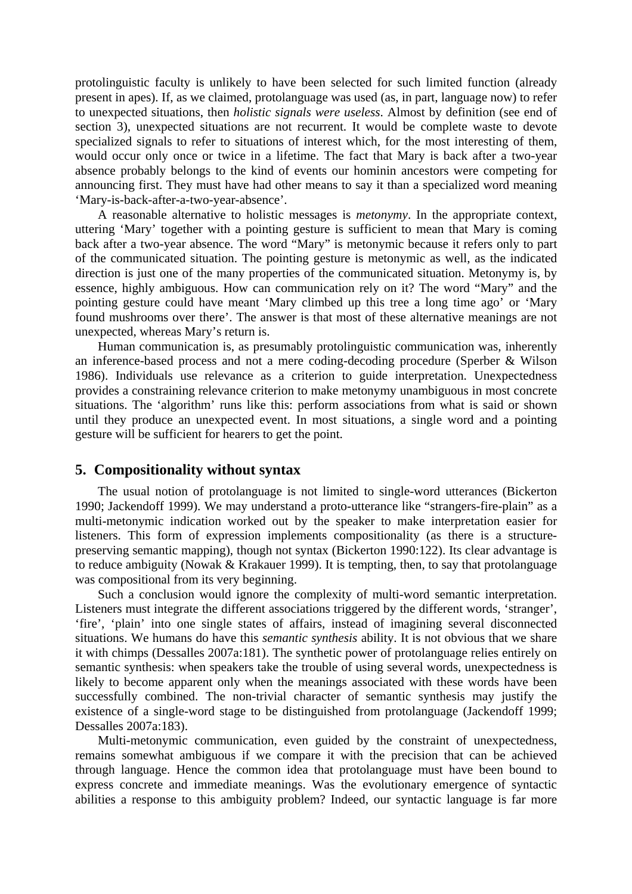protolinguistic faculty is unlikely to have been selected for such limited function (already present in apes). If, as we claimed, protolanguage was used (as, in part, language now) to refer to unexpected situations, then *holistic signals were useless*. Almost by definition (see end of section 3), unexpected situations are not recurrent. It would be complete waste to devote specialized signals to refer to situations of interest which, for the most interesting of them, would occur only once or twice in a lifetime. The fact that Mary is back after a two-year absence probably belongs to the kind of events our hominin ancestors were competing for announcing first. They must have had other means to say it than a specialized word meaning 'Mary-is-back-after-a-two-year-absence'.

A reasonable alternative to holistic messages is *metonymy*. In the appropriate context, uttering 'Mary' together with a pointing gesture is sufficient to mean that Mary is coming back after a two-year absence. The word "Mary" is metonymic because it refers only to part of the communicated situation. The pointing gesture is metonymic as well, as the indicated direction is just one of the many properties of the communicated situation. Metonymy is, by essence, highly ambiguous. How can communication rely on it? The word "Mary" and the pointing gesture could have meant 'Mary climbed up this tree a long time ago' or 'Mary found mushrooms over there'. The answer is that most of these alternative meanings are not unexpected, whereas Mary's return is.

Human communication is, as presumably protolinguistic communication was, inherently an inference-based process and not a mere coding-decoding procedure (Sperber & Wilson 1986). Individuals use relevance as a criterion to guide interpretation. Unexpectedness provides a constraining relevance criterion to make metonymy unambiguous in most concrete situations. The 'algorithm' runs like this: perform associations from what is said or shown until they produce an unexpected event. In most situations, a single word and a pointing gesture will be sufficient for hearers to get the point.

#### **5. Compositionality without syntax**

The usual notion of protolanguage is not limited to single-word utterances (Bickerton 1990; Jackendoff 1999). We may understand a proto-utterance like "strangers-fire-plain" as a multi-metonymic indication worked out by the speaker to make interpretation easier for listeners. This form of expression implements compositionality (as there is a structurepreserving semantic mapping), though not syntax (Bickerton 1990:122). Its clear advantage is to reduce ambiguity (Nowak & Krakauer 1999). It is tempting, then, to say that protolanguage was compositional from its very beginning.

Such a conclusion would ignore the complexity of multi-word semantic interpretation. Listeners must integrate the different associations triggered by the different words, 'stranger', 'fire', 'plain' into one single states of affairs, instead of imagining several disconnected situations. We humans do have this *semantic synthesis* ability. It is not obvious that we share it with chimps (Dessalles 2007a:181). The synthetic power of protolanguage relies entirely on semantic synthesis: when speakers take the trouble of using several words, unexpectedness is likely to become apparent only when the meanings associated with these words have been successfully combined. The non-trivial character of semantic synthesis may justify the existence of a single-word stage to be distinguished from protolanguage (Jackendoff 1999; Dessalles 2007a:183).

Multi-metonymic communication, even guided by the constraint of unexpectedness, remains somewhat ambiguous if we compare it with the precision that can be achieved through language. Hence the common idea that protolanguage must have been bound to express concrete and immediate meanings. Was the evolutionary emergence of syntactic abilities a response to this ambiguity problem? Indeed, our syntactic language is far more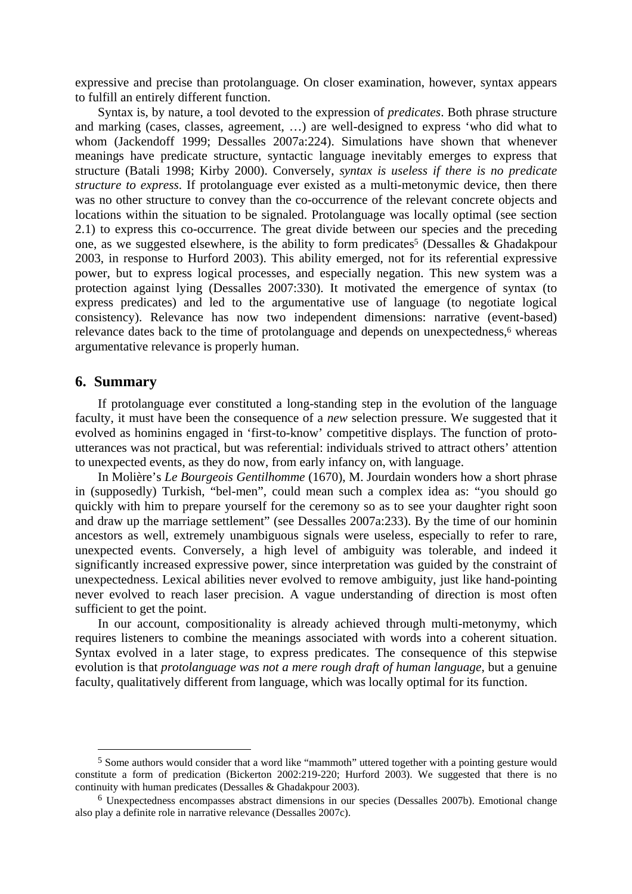expressive and precise than protolanguage. On closer examination, however, syntax appears to fulfill an entirely different function.

Syntax is, by nature, a tool devoted to the expression of *predicates*. Both phrase structure and marking (cases, classes, agreement, …) are well-designed to express 'who did what to whom (Jackendoff 1999; Dessalles 2007a:224). Simulations have shown that whenever meanings have predicate structure, syntactic language inevitably emerges to express that structure (Batali 1998; Kirby 2000). Conversely, *syntax is useless if there is no predicate structure to express*. If protolanguage ever existed as a multi-metonymic device, then there was no other structure to convey than the co-occurrence of the relevant concrete objects and locations within the situation to be signaled. Protolanguage was locally optimal (see section 2.1) to express this co-occurrence. The great divide between our species and the preceding one, as we suggested elsewhere, is the ability to form predicates<sup>5</sup> (Dessalles & Ghadakpour 2003, in response to Hurford 2003). This ability emerged, not for its referential expressive power, but to express logical processes, and especially negation. This new system was a protection against lying (Dessalles 2007:330). It motivated the emergence of syntax (to express predicates) and led to the argumentative use of language (to negotiate logical consistency). Relevance has now two independent dimensions: narrative (event-based) relevance dates back to the time of protolanguage and depends on unexpectedness,<sup>6</sup> whereas argumentative relevance is properly human.

## **6. Summary**

 $\overline{a}$ 

If protolanguage ever constituted a long-standing step in the evolution of the language faculty, it must have been the consequence of a *new* selection pressure. We suggested that it evolved as hominins engaged in 'first-to-know' competitive displays. The function of protoutterances was not practical, but was referential: individuals strived to attract others' attention to unexpected events, as they do now, from early infancy on, with language.

In Molière's *Le Bourgeois Gentilhomme* (1670), M. Jourdain wonders how a short phrase in (supposedly) Turkish, "bel-men", could mean such a complex idea as: "you should go quickly with him to prepare yourself for the ceremony so as to see your daughter right soon and draw up the marriage settlement" (see Dessalles 2007a:233). By the time of our hominin ancestors as well, extremely unambiguous signals were useless, especially to refer to rare, unexpected events. Conversely, a high level of ambiguity was tolerable, and indeed it significantly increased expressive power, since interpretation was guided by the constraint of unexpectedness. Lexical abilities never evolved to remove ambiguity, just like hand-pointing never evolved to reach laser precision. A vague understanding of direction is most often sufficient to get the point.

In our account, compositionality is already achieved through multi-metonymy, which requires listeners to combine the meanings associated with words into a coherent situation. Syntax evolved in a later stage, to express predicates. The consequence of this stepwise evolution is that *protolanguage was not a mere rough draft of human language*, but a genuine faculty, qualitatively different from language, which was locally optimal for its function.

<sup>5</sup> Some authors would consider that a word like "mammoth" uttered together with a pointing gesture would constitute a form of predication (Bickerton 2002:219-220; Hurford 2003). We suggested that there is no continuity with human predicates (Dessalles & Ghadakpour 2003).

<sup>6</sup> Unexpectedness encompasses abstract dimensions in our species (Dessalles 2007b). Emotional change also play a definite role in narrative relevance (Dessalles 2007c).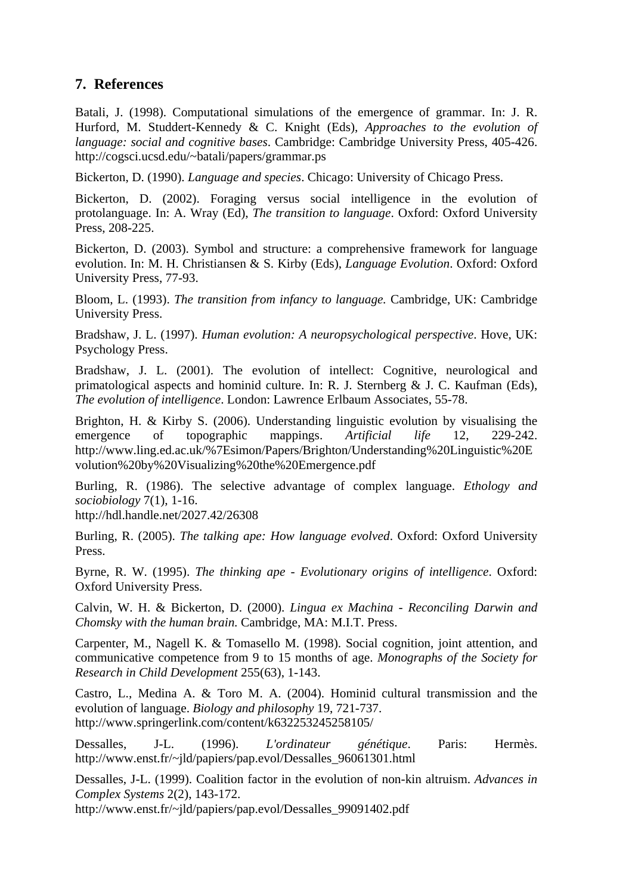## **7. References**

Batali, J. (1998). Computational simulations of the emergence of grammar. In: J. R. Hurford, M. Studdert-Kennedy & C. Knight (Eds), *Approaches to the evolution of language: social and cognitive bases*. Cambridge: Cambridge University Press, 405-426. http://cogsci.ucsd.edu/~batali/papers/grammar.ps

Bickerton, D. (1990). *Language and species*. Chicago: University of Chicago Press.

Bickerton, D. (2002). Foraging versus social intelligence in the evolution of protolanguage. In: A. Wray (Ed), *The transition to language*. Oxford: Oxford University Press, 208-225.

Bickerton, D. (2003). Symbol and structure: a comprehensive framework for language evolution. In: M. H. Christiansen & S. Kirby (Eds), *Language Evolution*. Oxford: Oxford University Press, 77-93.

Bloom, L. (1993). *The transition from infancy to language.* Cambridge, UK: Cambridge University Press.

Bradshaw, J. L. (1997). *Human evolution: A neuropsychological perspective*. Hove, UK: Psychology Press.

Bradshaw, J. L. (2001). The evolution of intellect: Cognitive, neurological and primatological aspects and hominid culture. In: R. J. Sternberg & J. C. Kaufman (Eds), *The evolution of intelligence*. London: Lawrence Erlbaum Associates, 55-78.

Brighton, H. & Kirby S. (2006). Understanding linguistic evolution by visualising the emergence of topographic mappings. *Artificial life* 12, 229-242. http://www.ling.ed.ac.uk/%7Esimon/Papers/Brighton/Understanding%20Linguistic%20E volution%20by%20Visualizing%20the%20Emergence.pdf

Burling, R. (1986). The selective advantage of complex language. *Ethology and sociobiology* 7(1), 1-16.

http://hdl.handle.net/2027.42/26308

Burling, R. (2005). *The talking ape: How language evolved*. Oxford: Oxford University Press.

Byrne, R. W. (1995). *The thinking ape - Evolutionary origins of intelligence*. Oxford: Oxford University Press.

Calvin, W. H. & Bickerton, D. (2000). *Lingua ex Machina - Reconciling Darwin and Chomsky with the human brain.* Cambridge, MA: M.I.T. Press.

Carpenter, M., Nagell K. & Tomasello M. (1998). Social cognition, joint attention, and communicative competence from 9 to 15 months of age. *Monographs of the Society for Research in Child Development* 255(63), 1-143.

Castro, L., Medina A. & Toro M. A. (2004). Hominid cultural transmission and the evolution of language. *Biology and philosophy* 19, 721-737. http://www.springerlink.com/content/k632253245258105/

Dessalles, J-L. (1996). *L'ordinateur génétique*. Paris: Hermès. http://www.enst.fr/~jld/papiers/pap.evol/Dessalles\_96061301.html

Dessalles, J-L. (1999). Coalition factor in the evolution of non-kin altruism. *Advances in Complex Systems* 2(2), 143-172.

http://www.enst.fr/~jld/papiers/pap.evol/Dessalles\_99091402.pdf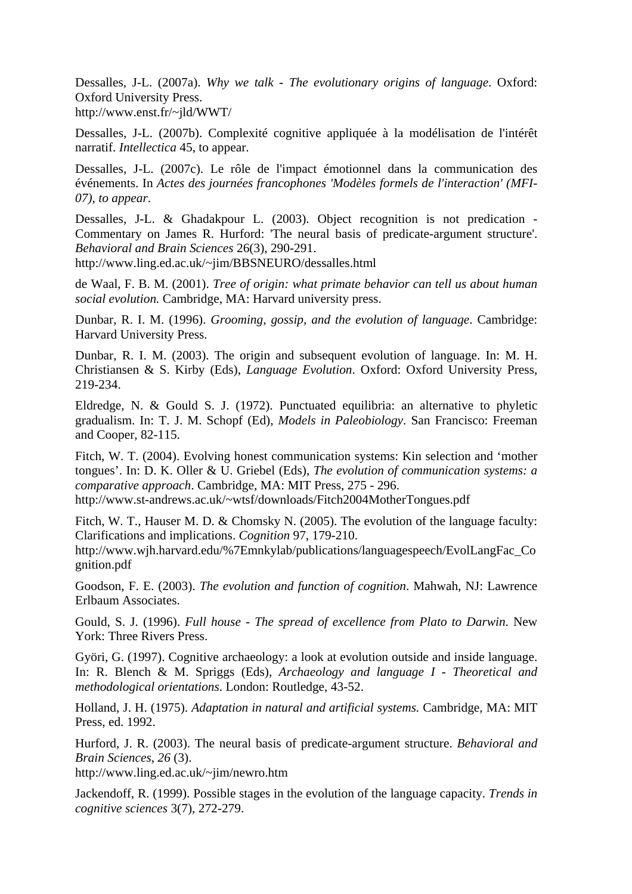Dessalles, J-L. (2007a). *Why we talk - The evolutionary origins of language*. Oxford: Oxford University Press. http://www.enst.fr/~jld/WWT/

Dessalles, J-L. (2007b). Complexité cognitive appliquée à la modélisation de l'intérêt narratif. *Intellectica* 45, to appear.

Dessalles, J-L. (2007c). Le rôle de l'impact émotionnel dans la communication des événements. In *Actes des journées francophones 'Modèles formels de l'interaction' (MFI-07)*, *to appear*.

Dessalles, J-L. & Ghadakpour L. (2003). Object recognition is not predication - Commentary on James R. Hurford: 'The neural basis of predicate-argument structure'. *Behavioral and Brain Sciences* 26(3), 290-291.

http://www.ling.ed.ac.uk/~jim/BBSNEURO/dessalles.html

de Waal, F. B. M. (2001). *Tree of origin: what primate behavior can tell us about human social evolution.* Cambridge, MA: Harvard university press.

Dunbar, R. I. M. (1996). *Grooming, gossip, and the evolution of language*. Cambridge: Harvard University Press.

Dunbar, R. I. M. (2003). The origin and subsequent evolution of language. In: M. H. Christiansen & S. Kirby (Eds), *Language Evolution*. Oxford: Oxford University Press, 219-234.

Eldredge, N. & Gould S. J. (1972). Punctuated equilibria: an alternative to phyletic gradualism. In: T. J. M. Schopf (Ed), *Models in Paleobiology*. San Francisco: Freeman and Cooper, 82-115.

Fitch, W. T. (2004). Evolving honest communication systems: Kin selection and 'mother tongues'. In: D. K. Oller & U. Griebel (Eds), *The evolution of communication systems: a comparative approach*. Cambridge, MA: MIT Press, 275 - 296.

http://www.st-andrews.ac.uk/~wtsf/downloads/Fitch2004MotherTongues.pdf

Fitch, W. T., Hauser M. D. & Chomsky N. (2005). The evolution of the language faculty: Clarifications and implications. *Cognition* 97, 179-210.

http://www.wjh.harvard.edu/%7Emnkylab/publications/languagespeech/EvolLangFac\_Co gnition.pdf

Goodson, F. E. (2003). *The evolution and function of cognition*. Mahwah, NJ: Lawrence Erlbaum Associates.

Gould, S. J. (1996). *Full house - The spread of excellence from Plato to Darwin*. New York: Three Rivers Press.

Györi, G. (1997). Cognitive archaeology: a look at evolution outside and inside language. In: R. Blench & M. Spriggs (Eds), *Archaeology and language I - Theoretical and methodological orientations*. London: Routledge, 43-52.

Holland, J. H. (1975). *Adaptation in natural and artificial systems.* Cambridge, MA: MIT Press, ed. 1992.

Hurford, J. R. (2003). The neural basis of predicate-argument structure. *Behavioral and Brain Sciences*, *26* (3).

http://www.ling.ed.ac.uk/~jim/newro.htm

Jackendoff, R. (1999). Possible stages in the evolution of the language capacity. *Trends in cognitive sciences* 3(7), 272-279.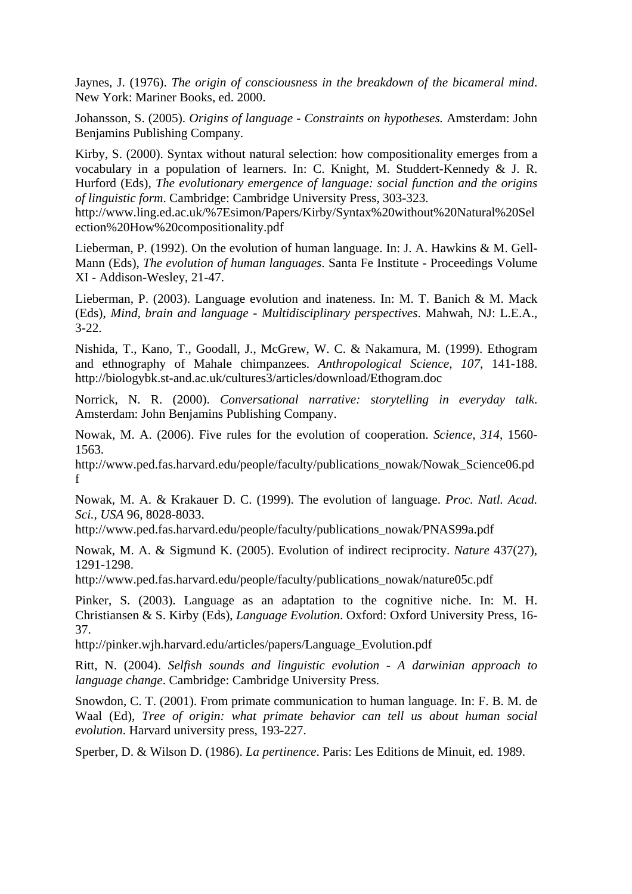Jaynes, J. (1976). *The origin of consciousness in the breakdown of the bicameral mind*. New York: Mariner Books, ed. 2000.

Johansson, S. (2005). *Origins of language - Constraints on hypotheses.* Amsterdam: John Benjamins Publishing Company.

Kirby, S. (2000). Syntax without natural selection: how compositionality emerges from a vocabulary in a population of learners. In: C. Knight, M. Studdert-Kennedy & J. R. Hurford (Eds), *The evolutionary emergence of language: social function and the origins of linguistic form*. Cambridge: Cambridge University Press, 303-323.

http://www.ling.ed.ac.uk/%7Esimon/Papers/Kirby/Syntax%20without%20Natural%20Sel ection%20How%20compositionality.pdf

Lieberman, P. (1992). On the evolution of human language. In: J. A. Hawkins & M. Gell-Mann (Eds), *The evolution of human languages*. Santa Fe Institute - Proceedings Volume XI - Addison-Wesley, 21-47.

Lieberman, P. (2003). Language evolution and inateness. In: M. T. Banich & M. Mack (Eds), *Mind, brain and language - Multidisciplinary perspectives*. Mahwah, NJ: L.E.A., 3-22.

Nishida, T., Kano, T., Goodall, J., McGrew, W. C. & Nakamura, M. (1999). Ethogram and ethnography of Mahale chimpanzees. *Anthropological Science*, *107*, 141-188. http://biologybk.st-and.ac.uk/cultures3/articles/download/Ethogram.doc

Norrick, N. R. (2000). *Conversational narrative: storytelling in everyday talk*. Amsterdam: John Benjamins Publishing Company.

Nowak, M. A. (2006). Five rules for the evolution of cooperation. *Science*, *314*, 1560- 1563.

http://www.ped.fas.harvard.edu/people/faculty/publications\_nowak/Nowak\_Science06.pd f

Nowak, M. A. & Krakauer D. C. (1999). The evolution of language. *Proc. Natl. Acad. Sci., USA* 96, 8028-8033.

http://www.ped.fas.harvard.edu/people/faculty/publications\_nowak/PNAS99a.pdf

Nowak, M. A. & Sigmund K. (2005). Evolution of indirect reciprocity. *Nature* 437(27), 1291-1298.

http://www.ped.fas.harvard.edu/people/faculty/publications\_nowak/nature05c.pdf

Pinker, S. (2003). Language as an adaptation to the cognitive niche. In: M. H. Christiansen & S. Kirby (Eds), *Language Evolution*. Oxford: Oxford University Press, 16- 37.

http://pinker.wjh.harvard.edu/articles/papers/Language\_Evolution.pdf

Ritt, N. (2004). *Selfish sounds and linguistic evolution - A darwinian approach to language change*. Cambridge: Cambridge University Press.

Snowdon, C. T. (2001). From primate communication to human language. In: F. B. M. de Waal (Ed), *Tree of origin: what primate behavior can tell us about human social evolution*. Harvard university press, 193-227.

Sperber, D. & Wilson D. (1986). *La pertinence*. Paris: Les Editions de Minuit, ed. 1989.